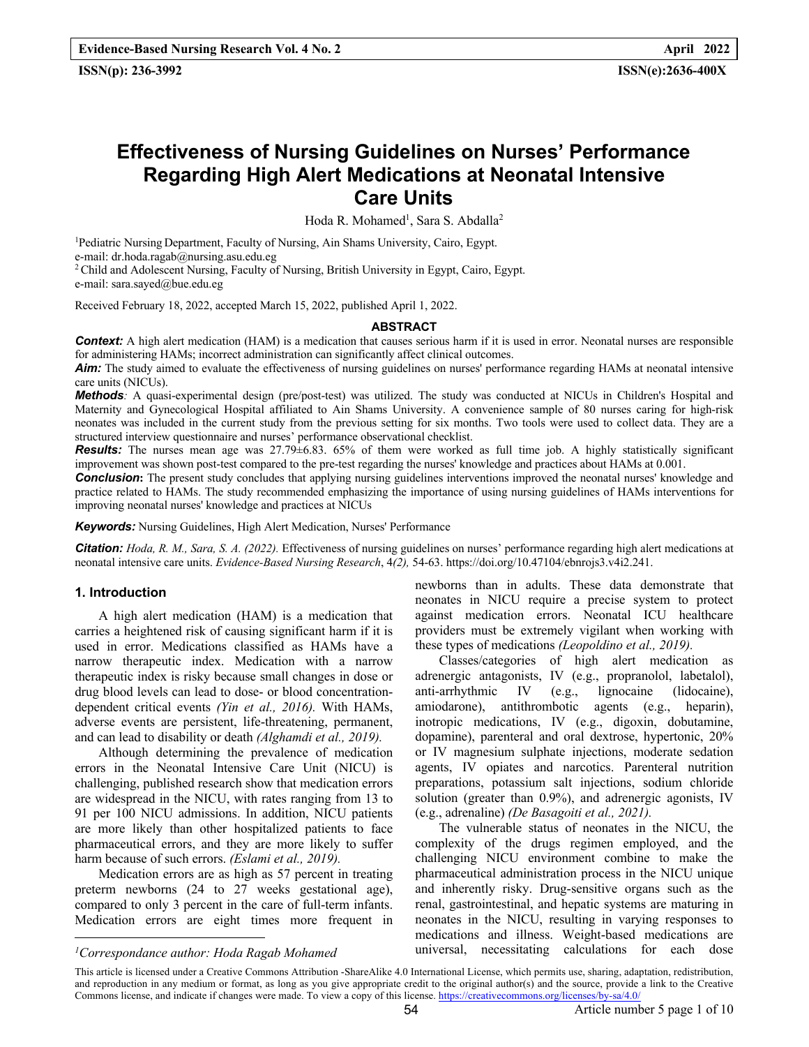# **Effectiveness of Nursing Guidelines on Nurses' Performance Regarding High Alert Medications at Neonatal Intensive Care Units**

Hoda R. Mohamed<sup>1</sup>, Sara S. Abdalla<sup>2</sup>

<sup>1</sup>Pediatric Nursing Department, Faculty of Nursing, Ain Shams University, Cairo, Egypt. e-mail: dr.hoda.ragab@nursing.asu.edu.eg

<sup>2</sup> Child and Adolescent Nursing, Faculty of Nursing, British University in Egypt, Cairo, Egypt. e-mail: sara.sayed@bue.edu.eg

Received February 18, 2022, accepted March 15, 2022, published April 1, 2022.

#### **ABSTRACT**

**Context:** A high alert medication (HAM) is a medication that causes serious harm if it is used in error. Neonatal nurses are responsible for administering HAMs; incorrect administration can significantly affect clinical outcomes.

**Aim:** The study aimed to evaluate the effectiveness of nursing guidelines on nurses' performance regarding HAMs at neonatal intensive care units (NICUs).

*Methods:* A quasi-experimental design (pre/post-test) was utilized. The study was conducted at NICUs in Children's Hospital and Maternity and Gynecological Hospital affiliated to Ain Shams University. A convenience sample of 80 nurses caring for high-risk neonates was included in the current study from the previous setting for six months. Two tools were used to collect data. They are a structured interview questionnaire and nurses' performance observational checklist.

*Results:* The nurses mean age was 27.79±6.83. 65% of them were worked as full time job. A highly statistically significant improvement was shown post-test compared to the pre-test regarding the nurses' knowledge and practices about HAMs at 0.001.

**Conclusion:** The present study concludes that applying nursing guidelines interventions improved the neonatal nurses' knowledge and practice related to HAMs. The study recommended emphasizing the importance of using nursing guidelines of HAMs interventions for improving neonatal nurses' knowledge and practices at NICUs

*Keywords:* Nursing Guidelines, High Alert Medication, Nurses' Performance

*Citation: Hoda, R. M., Sara, S. A. (2022).* Effectiveness of nursing guidelines on nurses' performance regarding high alert medications at neonatal intensive care units. *Evidence-Based Nursing Research*, 4*(2),* 54-63. https://doi.org/10.47104/ebnrojs3.v4i2.241.

#### **1. Introduction**

A high alert medication (HAM) is a medication that carries a heightened risk of causing significant harm if it is used in error. Medications classified as HAMs have a narrow therapeutic index. Medication with a narrow therapeutic index is risky because small changes in dose or drug blood levels can lead to dose- or blood concentrationdependent critical events *(Yin et al., 2016).* With HAMs, adverse events are persistent, life-threatening, permanent, and can lead to disability or death *(Alghamdi et al., 2019).*

Although determining the prevalence of medication errors in the Neonatal Intensive Care Unit (NICU) is challenging, published research show that medication errors are widespread in the NICU, with rates ranging from 13 to 91 per 100 NICU admissions. In addition, NICU patients are more likely than other hospitalized patients to face pharmaceutical errors, and they are more likely to suffer harm because of such errors. *(Eslami et al., 2019).*

Medication errors are as high as 57 percent in treating preterm newborns (24 to 27 weeks gestational age), compared to only 3 percent in the care of full-term infants. Medication errors are eight times more frequent in

newborns than in adults. These data demonstrate that neonates in NICU require a precise system to protect against medication errors. Neonatal ICU healthcare providers must be extremely vigilant when working with these types of medications *(Leopoldino et al., 2019).*

Classes/categories of high alert medication as adrenergic antagonists, IV (e.g., propranolol, labetalol), anti-arrhythmic IV (e.g., lignocaine (lidocaine), amiodarone), antithrombotic agents (e.g., heparin), inotropic medications, IV (e.g., digoxin, dobutamine, dopamine), parenteral and oral dextrose, hypertonic, 20% or IV magnesium sulphate injections, moderate sedation agents, IV opiates and narcotics. Parenteral nutrition preparations, potassium salt injections, sodium chloride solution (greater than 0.9%), and adrenergic agonists, IV (e.g., adrenaline) *(De Basagoiti et al., 2021).*

The vulnerable status of neonates in the NICU, the complexity of the drugs regimen employed, and the challenging NICU environment combine to make the pharmaceutical administration process in the NICU unique and inherently risky. Drug-sensitive organs such as the renal, gastrointestinal, and hepatic systems are maturing in neonates in the NICU, resulting in varying responses to medications and illness. Weight-based medications are universal, necessitating calculations for each dose

*<sup>1</sup> Correspondance author: Hoda Ragab Mohamed*

This article is licensed under a Creative Commons Attribution -ShareAlike 4.0 International License, which permits use, sharing, adaptation, redistribution, and reproduction in any medium or format, as long as you give appropriate credit to the original author(s) and the source, provide a link to the Creative Commons license, and indicate if changes were made. To view a copy of this license. https://creativecommons.org/licenses/by-sa/4.0/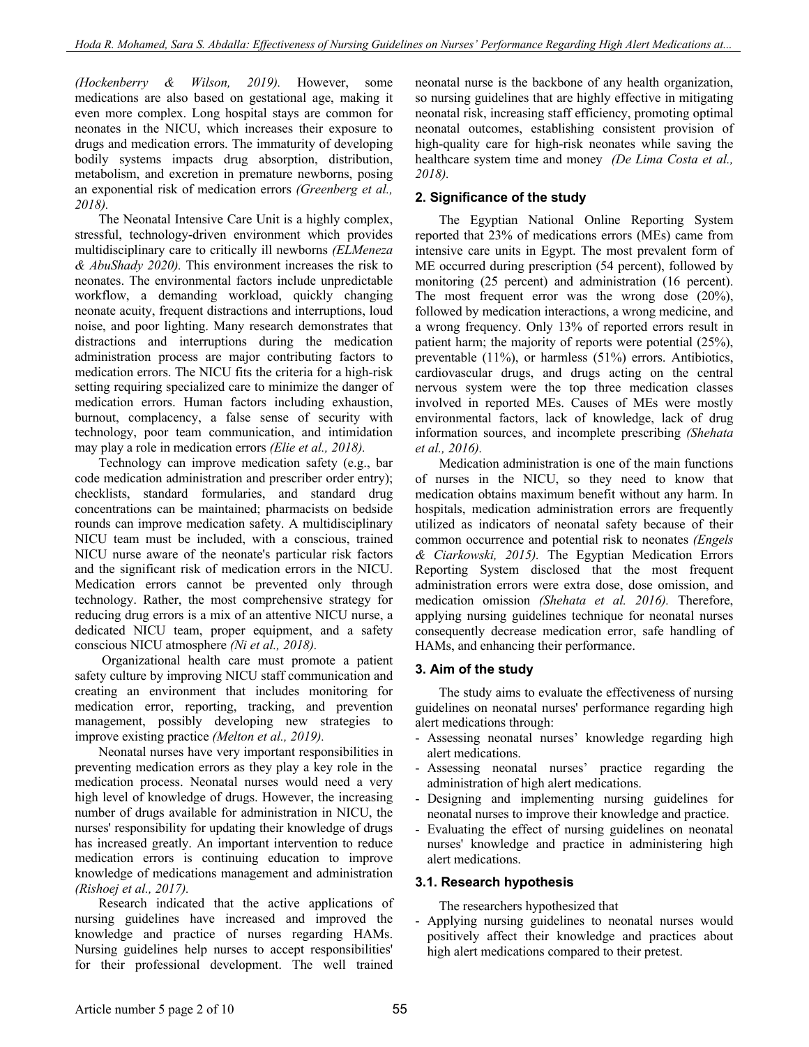*(Hockenberry & Wilson, 2019).* However, some medications are also based on gestational age, making it even more complex. Long hospital stays are common for neonates in the NICU, which increases their exposure to drugs and medication errors. The immaturity of developing bodily systems impacts drug absorption, distribution, metabolism, and excretion in premature newborns, posing an exponential risk of medication errors *(Greenberg et al., 2018).*

The Neonatal Intensive Care Unit is a highly complex, stressful, technology-driven environment which provides multidisciplinary care to critically ill newborns *(ELMeneza & AbuShady 2020).* This environment increases the risk to neonates. The environmental factors include unpredictable workflow, a demanding workload, quickly changing neonate acuity, frequent distractions and interruptions, loud noise, and poor lighting. Many research demonstrates that distractions and interruptions during the medication administration process are major contributing factors to medication errors. The NICU fits the criteria for a high-risk setting requiring specialized care to minimize the danger of medication errors. Human factors including exhaustion, burnout, complacency, a false sense of security with technology, poor team communication, and intimidation may play a role in medication errors *(Elie et al., 2018).*

Technology can improve medication safety (e.g., bar code medication administration and prescriber order entry); checklists, standard formularies, and standard drug concentrations can be maintained; pharmacists on bedside rounds can improve medication safety. A multidisciplinary NICU team must be included, with a conscious, trained NICU nurse aware of the neonate's particular risk factors and the significant risk of medication errors in the NICU. Medication errors cannot be prevented only through technology. Rather, the most comprehensive strategy for reducing drug errors is a mix of an attentive NICU nurse, a dedicated NICU team, proper equipment, and a safety conscious NICU atmosphere *(Ni et al., 2018).*

Organizational health care must promote a patient safety culture by improving NICU staff communication and creating an environment that includes monitoring for medication error, reporting, tracking, and prevention management, possibly developing new strategies to improve existing practice *(Melton et al., 2019).*

Neonatal nurses have very important responsibilities in preventing medication errors as they play a key role in the medication process. Neonatal nurses would need a very high level of knowledge of drugs. However, the increasing number of drugs available for administration in NICU, the nurses' responsibility for updating their knowledge of drugs has increased greatly. An important intervention to reduce medication errors is continuing education to improve knowledge of medications management and administration *(Rishoej et al., 2017).*

Research indicated that the active applications of nursing guidelines have increased and improved the knowledge and practice of nurses regarding HAMs. Nursing guidelines help nurses to accept responsibilities' for their professional development. The well trained

neonatal nurse is the backbone of any health organization, so nursing guidelines that are highly effective in mitigating neonatal risk, increasing staff efficiency, promoting optimal neonatal outcomes, establishing consistent provision of high-quality care for high-risk neonates while saving the healthcare system time and money *(De Lima Costa et al., 2018).*

## **2. Significance of the study**

The Egyptian National Online Reporting System reported that 23% of medications errors (MEs) came from intensive care units in Egypt. The most prevalent form of ME occurred during prescription (54 percent), followed by monitoring (25 percent) and administration (16 percent). The most frequent error was the wrong dose (20%), followed by medication interactions, a wrong medicine, and a wrong frequency. Only 13% of reported errors result in patient harm; the majority of reports were potential (25%), preventable (11%), or harmless (51%) errors. Antibiotics, cardiovascular drugs, and drugs acting on the central nervous system were the top three medication classes involved in reported MEs. Causes of MEs were mostly environmental factors, lack of knowledge, lack of drug information sources, and incomplete prescribing *(Shehata et al., 2016).*

Medication administration is one of the main functions of nurses in the NICU, so they need to know that medication obtains maximum benefit without any harm. In hospitals, medication administration errors are frequently utilized as indicators of neonatal safety because of their common occurrence and potential risk to neonates *(Engels & Ciarkowski, 2015).* The Egyptian Medication Errors Reporting System disclosed that the most frequent administration errors were extra dose, dose omission, and medication omission *(Shehata et al. 2016).* Therefore, applying nursing guidelines technique for neonatal nurses consequently decrease medication error, safe handling of HAMs, and enhancing their performance.

## **3. Aim of the study**

The study aims to evaluate the effectiveness of nursing guidelines on neonatal nurses' performance regarding high alert medications through:

- Assessing neonatal nurses' knowledge regarding high alert medications.
- Assessing neonatal nurses' practice regarding the administration of high alert medications.
- Designing and implementing nursing guidelines for neonatal nurses to improve their knowledge and practice.
- Evaluating the effect of nursing guidelines on neonatal nurses' knowledge and practice in administering high alert medications.

## **3.1. Research hypothesis**

The researchers hypothesized that

- Applying nursing guidelines to neonatal nurses would positively affect their knowledge and practices about high alert medications compared to their pretest.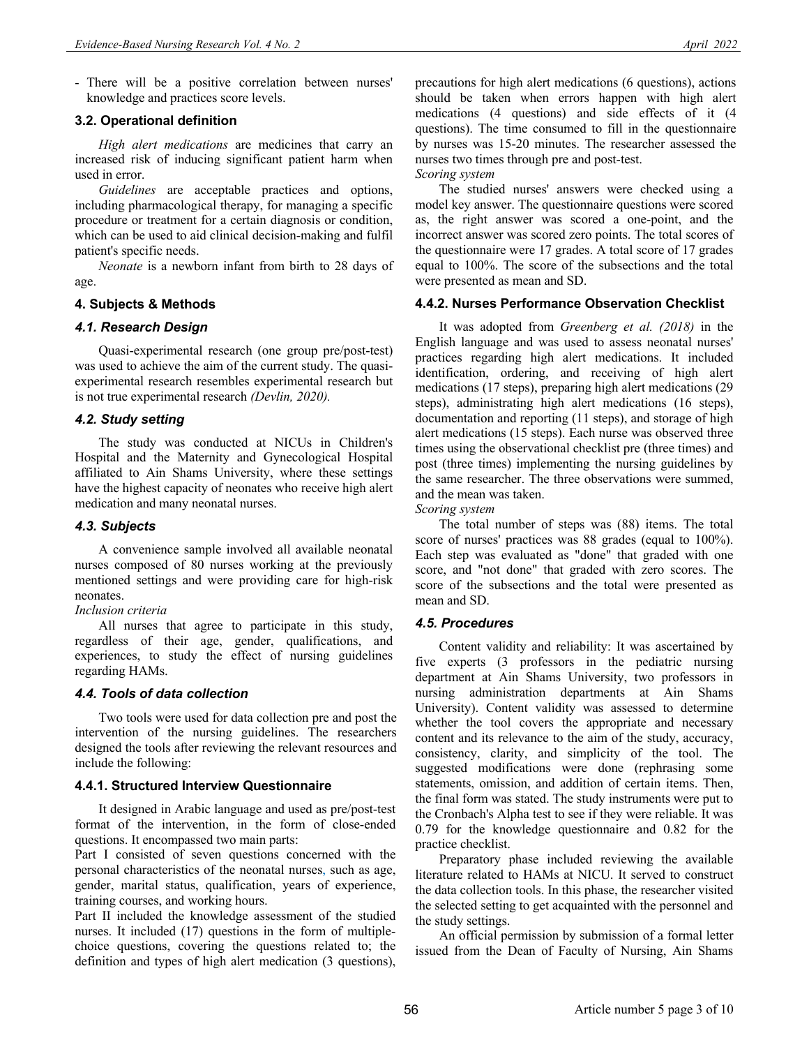- There will be a positive correlation between nurses' knowledge and practices score levels.

## **3.2. Operational definition**

*High alert medications* are medicines that carry an increased risk of inducing significant patient harm when used in error.

*Guidelines* are acceptable practices and options, including pharmacological therapy, for managing a specific procedure or treatment for a certain diagnosis or condition, which can be used to aid clinical decision-making and fulfil patient's specific needs.

*Neonate* is a newborn infant from birth to 28 days of age.

### **4. Subjects & Methods**

#### *4.1. Research Design*

Quasi-experimental research (one group pre/post-test) was used to achieve the aim of the current study. The quasiexperimental research resembles experimental research but is not true experimental research *(Devlin, 2020).*

### *4.2. Study setting*

The study was conducted at NICUs in Children's Hospital and the Maternity and Gynecological Hospital affiliated to Ain Shams University, where these settings have the highest capacity of neonates who receive high alert medication and many neonatal nurses.

#### *4.3. Subjects*

A convenience sample involved all available neonatal nurses composed of 80 nurses working at the previously mentioned settings and were providing care for high-risk neonates.

#### *Inclusion criteria*

All nurses that agree to participate in this study, regardless of their age, gender, qualifications, and experiences, to study the effect of nursing guidelines regarding HAMs.

## *4.4. Tools of data collection*

Two tools were used for data collection pre and post the intervention of the nursing guidelines. The researchers designed the tools after reviewing the relevant resources and include the following:

#### **4.4.1. Structured Interview Questionnaire**

It designed in Arabic language and used as pre/post-test format of the intervention, in the form of close-ended questions. It encompassed two main parts:

Part I consisted of seven questions concerned with the personal characteristics of the neonatal nurses, such as age, gender, marital status, qualification, years of experience, training courses, and working hours.

Part II included the knowledge assessment of the studied nurses. It included (17) questions in the form of multiplechoice questions, covering the questions related to; the definition and types of high alert medication (3 questions), precautions for high alert medications (6 questions), actions should be taken when errors happen with high alert medications (4 questions) and side effects of it (4 questions). The time consumed to fill in the questionnaire by nurses was 15-20 minutes. The researcher assessed the nurses two times through pre and post-test.

*Scoring system*

The studied nurses' answers were checked using a model key answer. The questionnaire questions were scored as, the right answer was scored a one-point, and the incorrect answer was scored zero points. The total scores of the questionnaire were 17 grades. A total score of 17 grades equal to 100%. The score of the subsections and the total were presented as mean and SD.

#### **4.4.2. Nurses Performance Observation Checklist**

It was adopted from *Greenberg et al. (2018)* in the English language and was used to assess neonatal nurses' practices regarding high alert medications. It included identification, ordering, and receiving of high alert medications (17 steps), preparing high alert medications (29 steps), administrating high alert medications (16 steps), documentation and reporting (11 steps), and storage of high alert medications (15 steps). Each nurse was observed three times using the observational checklist pre (three times) and post (three times) implementing the nursing guidelines by the same researcher. The three observations were summed, and the mean was taken.

*Scoring system*

The total number of steps was (88) items. The total score of nurses' practices was 88 grades (equal to 100%). Each step was evaluated as "done" that graded with one score, and "not done" that graded with zero scores. The score of the subsections and the total were presented as mean and SD.

#### *4.5. Procedures*

Content validity and reliability: It was ascertained by five experts (3 professors in the pediatric nursing department at Ain Shams University, two professors in nursing administration departments at Ain Shams University). Content validity was assessed to determine whether the tool covers the appropriate and necessary content and its relevance to the aim of the study, accuracy, consistency, clarity, and simplicity of the tool. The suggested modifications were done (rephrasing some statements, omission, and addition of certain items. Then, the final form was stated. The study instruments were put to the Cronbach's Alpha test to see if they were reliable. It was 0.79 for the knowledge questionnaire and 0.82 for the practice checklist.

Preparatory phase included reviewing the available literature related to HAMs at NICU. It served to construct the data collection tools. In this phase, the researcher visited the selected setting to get acquainted with the personnel and the study settings.

An official permission by submission of a formal letter issued from the Dean of Faculty of Nursing, Ain Shams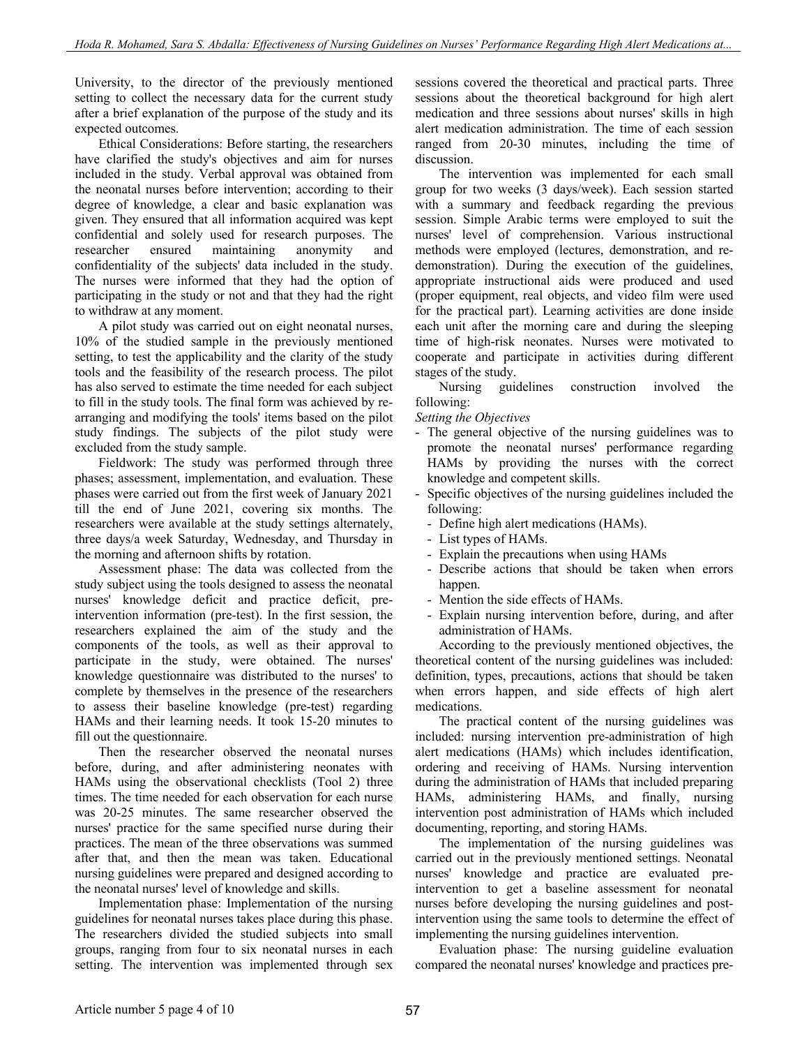University, to the director of the previously mentioned setting to collect the necessary data for the current study after a brief explanation of the purpose of the study and its expected outcomes.

Ethical Considerations: Before starting, the researchers have clarified the study's objectives and aim for nurses included in the study. Verbal approval was obtained from the neonatal nurses before intervention; according to their degree of knowledge, a clear and basic explanation was given. They ensured that all information acquired was kept confidential and solely used for research purposes. The researcher ensured maintaining anonymity and confidentiality of the subjects' data included in the study. The nurses were informed that they had the option of participating in the study or not and that they had the right to withdraw at any moment.

A pilot study was carried out on eight neonatal nurses, 10% of the studied sample in the previously mentioned setting, to test the applicability and the clarity of the study tools and the feasibility of the research process. The pilot has also served to estimate the time needed for each subject to fill in the study tools. The final form was achieved by rearranging and modifying the tools' items based on the pilot study findings. The subjects of the pilot study were excluded from the study sample.

Fieldwork: The study was performed through three phases; assessment, implementation, and evaluation. These phases were carried out from the first week of January 2021 till the end of June 2021, covering six months. The researchers were available at the study settings alternately, three days/a week Saturday, Wednesday, and Thursday in the morning and afternoon shifts by rotation.

Assessment phase: The data was collected from the study subject using the tools designed to assess the neonatal nurses' knowledge deficit and practice deficit, preintervention information (pre-test). In the first session, the researchers explained the aim of the study and the components of the tools, as well as their approval to participate in the study, were obtained. The nurses' knowledge questionnaire was distributed to the nurses' to complete by themselves in the presence of the researchers to assess their baseline knowledge (pre-test) regarding HAMs and their learning needs. It took 15-20 minutes to fill out the questionnaire.

Then the researcher observed the neonatal nurses before, during, and after administering neonates with HAMs using the observational checklists (Tool 2) three times. The time needed for each observation for each nurse was 20-25 minutes. The same researcher observed the nurses' practice for the same specified nurse during their practices. The mean of the three observations was summed after that, and then the mean was taken. Educational nursing guidelines were prepared and designed according to the neonatal nurses' level of knowledge and skills.

Implementation phase: Implementation of the nursing guidelines for neonatal nurses takes place during this phase. The researchers divided the studied subjects into small groups, ranging from four to six neonatal nurses in each setting. The intervention was implemented through sex sessions covered the theoretical and practical parts. Three sessions about the theoretical background for high alert medication and three sessions about nurses' skills in high alert medication administration. The time of each session ranged from 20-30 minutes, including the time of discussion.

The intervention was implemented for each small group for two weeks (3 days/week). Each session started with a summary and feedback regarding the previous session. Simple Arabic terms were employed to suit the nurses' level of comprehension. Various instructional methods were employed (lectures, demonstration, and redemonstration). During the execution of the guidelines, appropriate instructional aids were produced and used (proper equipment, real objects, and video film were used for the practical part). Learning activities are done inside each unit after the morning care and during the sleeping time of high-risk neonates. Nurses were motivated to cooperate and participate in activities during different stages of the study.

Nursing guidelines construction involved the following:

*Setting the Objectives* 

- The general objective of the nursing guidelines was to promote the neonatal nurses' performance regarding HAMs by providing the nurses with the correct knowledge and competent skills.
- Specific objectives of the nursing guidelines included the following:
- Define high alert medications (HAMs).
- List types of HAMs.
- Explain the precautions when using HAMs
- Describe actions that should be taken when errors happen.
- Mention the side effects of HAMs.
- Explain nursing intervention before, during, and after administration of HAMs.

According to the previously mentioned objectives, the theoretical content of the nursing guidelines was included: definition, types, precautions, actions that should be taken when errors happen, and side effects of high alert medications.

The practical content of the nursing guidelines was included: nursing intervention pre-administration of high alert medications (HAMs) which includes identification, ordering and receiving of HAMs. Nursing intervention during the administration of HAMs that included preparing HAMs, administering HAMs, and finally, nursing intervention post administration of HAMs which included documenting, reporting, and storing HAMs.

The implementation of the nursing guidelines was carried out in the previously mentioned settings. Neonatal nurses' knowledge and practice are evaluated preintervention to get a baseline assessment for neonatal nurses before developing the nursing guidelines and postintervention using the same tools to determine the effect of implementing the nursing guidelines intervention.

Evaluation phase: The nursing guideline evaluation compared the neonatal nurses' knowledge and practices pre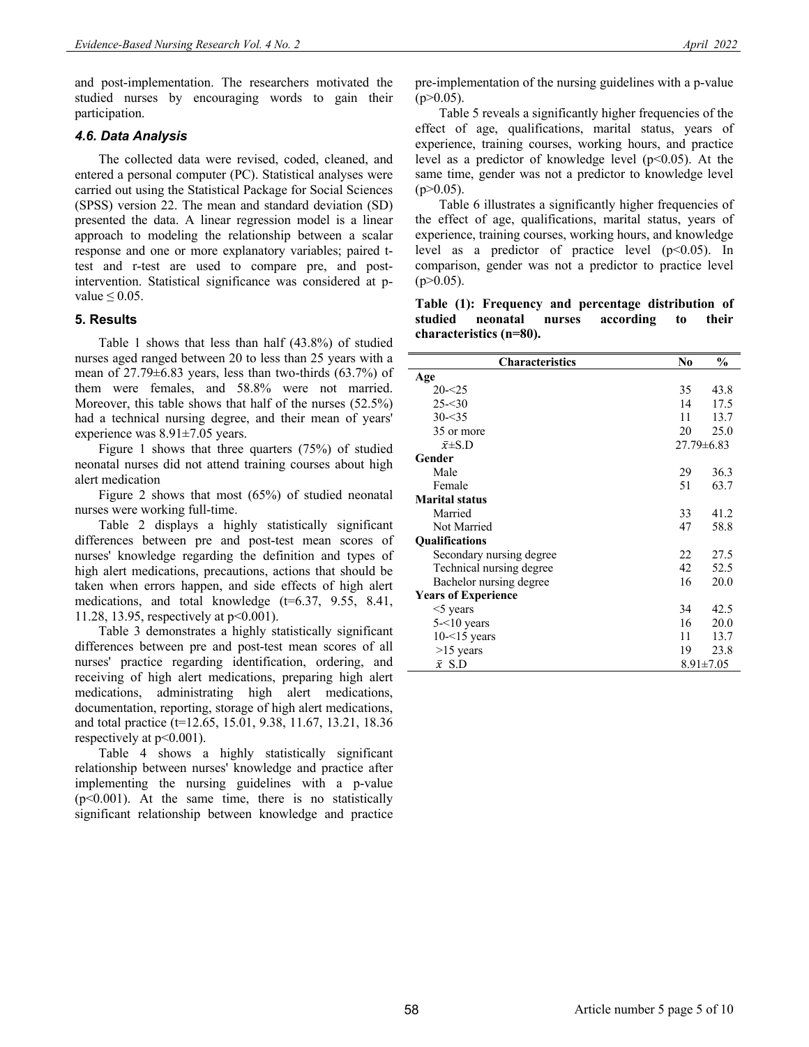and post-implementation. The researchers motivated the studied nurses by encouraging words to gain their participation.

## *4.6. Data Analysis*

The collected data were revised, coded, cleaned, and entered a personal computer (PC). Statistical analyses were carried out using the Statistical Package for Social Sciences (SPSS) version 22. The mean and standard deviation (SD) presented the data. A linear regression model is a linear approach to modeling the relationship between a scalar response and one or more explanatory variables; paired ttest and r-test are used to compare pre, and postintervention. Statistical significance was considered at pvalue  $\leq 0.05$ .

### **5. Results**

Table 1 shows that less than half (43.8%) of studied nurses aged ranged between 20 to less than 25 years with a mean of  $27.79\pm6.83$  years, less than two-thirds  $(63.7\%)$  of them were females, and 58.8% were not married. Moreover, this table shows that half of the nurses (52.5%) had a technical nursing degree, and their mean of years' experience was 8.91±7.05 years.

Figure 1 shows that three quarters (75%) of studied neonatal nurses did not attend training courses about high alert medication

Figure 2 shows that most (65%) of studied neonatal nurses were working full-time.

Table 2 displays a highly statistically significant differences between pre and post-test mean scores of nurses' knowledge regarding the definition and types of high alert medications, precautions, actions that should be taken when errors happen, and side effects of high alert medications, and total knowledge (t=6.37, 9.55, 8.41, 11.28, 13.95, respectively at p<0.001).

Table 3 demonstrates a highly statistically significant differences between pre and post-test mean scores of all nurses' practice regarding identification, ordering, and receiving of high alert medications, preparing high alert medications, administrating high alert medications, documentation, reporting, storage of high alert medications, and total practice (t=12.65, 15.01, 9.38, 11.67, 13.21, 18.36 respectively at p<0.001).

Table 4 shows a highly statistically significant relationship between nurses' knowledge and practice after implementing the nursing guidelines with a p-value  $(p<0.001)$ . At the same time, there is no statistically significant relationship between knowledge and practice pre-implementation of the nursing guidelines with a p-value  $(p>0.05)$ .

Table 5 reveals a significantly higher frequencies of the effect of age, qualifications, marital status, years of experience, training courses, working hours, and practice level as a predictor of knowledge level  $(p<0.05)$ . At the same time, gender was not a predictor to knowledge level  $(p>0.05)$ .

Table 6 illustrates a significantly higher frequencies of the effect of age, qualifications, marital status, years of experience, training courses, working hours, and knowledge level as a predictor of practice level  $(p<0.05)$ . In comparison, gender was not a predictor to practice level  $(p>0.05)$ .

| Table (1): Frequency and percentage distribution of |  |  |  |
|-----------------------------------------------------|--|--|--|
| studied neonatal nurses according to their          |  |  |  |
| characteristics (n=80).                             |  |  |  |

| <b>Characteristics</b>     | No               | $\frac{0}{0}$   |
|----------------------------|------------------|-----------------|
| Age                        |                  |                 |
| $20 - 25$                  | 35               | 43.8            |
| $25 - 30$                  | 14               | 17.5            |
| $30 - 35$                  | 11               | 13.7            |
| 35 or more                 | 20               | 25.0            |
| $\bar{x}$ ±S.D             | $27.79 \pm 6.83$ |                 |
| Gender                     |                  |                 |
| Male                       | 29               | 36.3            |
| Female                     | 51               | 63.7            |
| <b>Marital status</b>      |                  |                 |
| Married                    | 33               | 41.2            |
| Not Married                | 47               | 58.8            |
| <b>Qualifications</b>      |                  |                 |
| Secondary nursing degree   | 22               | 27.5            |
| Technical nursing degree   | 42               | 52.5            |
| Bachelor nursing degree    | 16               | 20.0            |
| <b>Years of Experience</b> |                  |                 |
| $<$ 5 years                | 34               | 42.5            |
| $5 - 10$ years             | 16               | 20.0            |
| $10 - 15$ years            | 11               | 13.7            |
| $>15$ years                | 19               | 23.8            |
| $\bar{x}$ S.D              |                  | $8.91 \pm 7.05$ |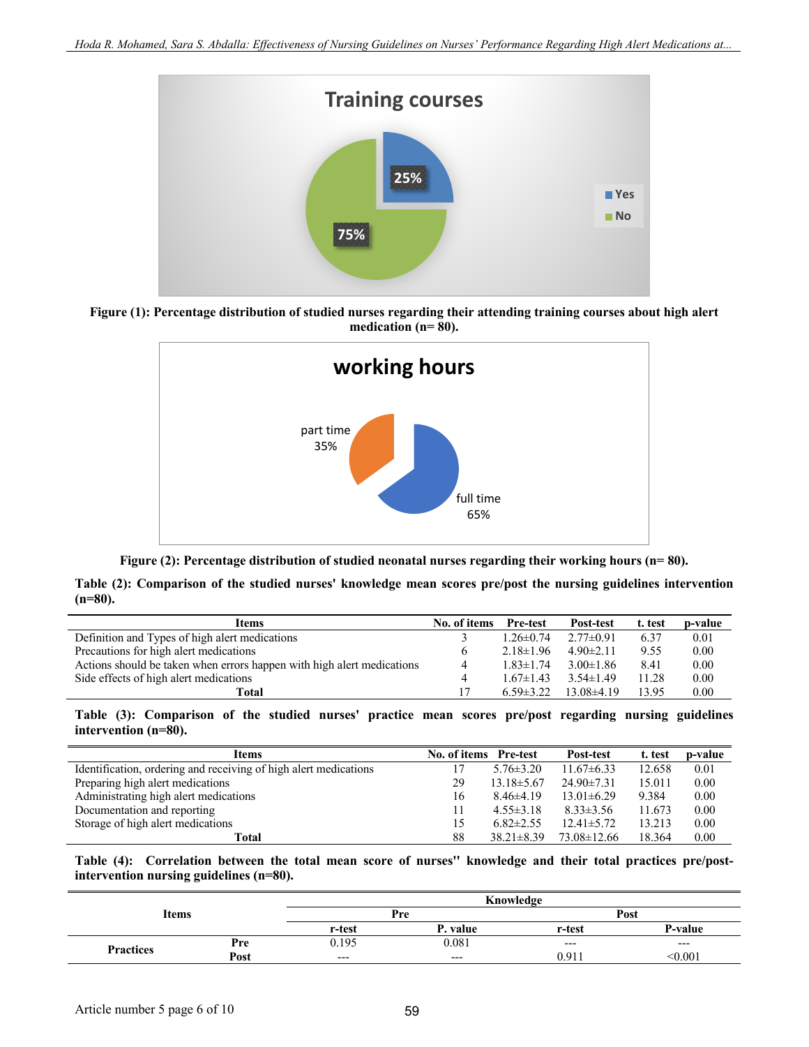

**Figure (1): Percentage distribution of studied nurses regarding their attending training courses about high alert medication (n= 80).**





**Table (2): Comparison of the studied nurses' knowledge mean scores pre/post the nursing guidelines intervention (n=80).**

| Items                                                                  | No. of items | <b>Pre-test</b> | <b>Post-test</b> | t. test | p-value |
|------------------------------------------------------------------------|--------------|-----------------|------------------|---------|---------|
| Definition and Types of high alert medications                         |              | $1.26 \pm 0.74$ | $2.77 \pm 0.91$  | 6.37    | 0.01    |
| Precautions for high alert medications                                 |              | $2.18\pm1.96$   | $4.90 \pm 2.11$  | 9.55    | 0.00    |
| Actions should be taken when errors happen with high alert medications | 4            | $1.83 \pm 1.74$ | $3.00 \pm 1.86$  | 8.41    | 0.00    |
| Side effects of high alert medications                                 | 4            | $1.67 \pm 1.43$ | $3.54 \pm 1.49$  | 11.28   | 0.00    |
| Total                                                                  |              | $6.59 \pm 3.22$ | $13.08\pm4.19$   | 13.95   | 0.00    |

**Table (3): Comparison of the studied nurses' practice mean scores pre/post regarding nursing guidelines intervention (n=80).**

| <b>Items</b>                                                     | No. of items Pre-test |                  | Post-test         | t. test | p-value |
|------------------------------------------------------------------|-----------------------|------------------|-------------------|---------|---------|
| Identification, ordering and receiving of high alert medications |                       | $5.76 \pm 3.20$  | $11.67\pm 6.33$   | 12.658  | 0.01    |
| Preparing high alert medications                                 | 29                    | $13.18 \pm 5.67$ | $24.90 \pm 7.31$  | 15.011  | 0.00    |
| Administrating high alert medications                            | 16                    | $8.46\pm4.19$    | $13.01 \pm 6.29$  | 9.384   | 0.00    |
| Documentation and reporting                                      | 11                    | $4.55 \pm 3.18$  | $8.33 \pm 3.56$   | 11.673  | 0.00    |
| Storage of high alert medications                                | 15                    | $6.82 \pm 2.55$  | $12.41 \pm 5.72$  | 13.213  | 0.00    |
| Total                                                            | 88                    | $38.21 \pm 8.39$ | $73.08 \pm 12.66$ | 18.364  | 0.00    |

**Table (4): Correlation between the total mean score of nurses'' knowledge and their total practices pre/postintervention nursing guidelines (n=80).**

|                  |      |        | Knowledge |        |         |
|------------------|------|--------|-----------|--------|---------|
| Items            |      | Pre    |           | Post   |         |
|                  |      | r-test | value     | r-test | P-value |
| <b>Practices</b> | Pre  | 0.195  | 0.081     | $---$  | $---$   |
|                  | Post | $---$  | $---$     | 0.911  | < 0.001 |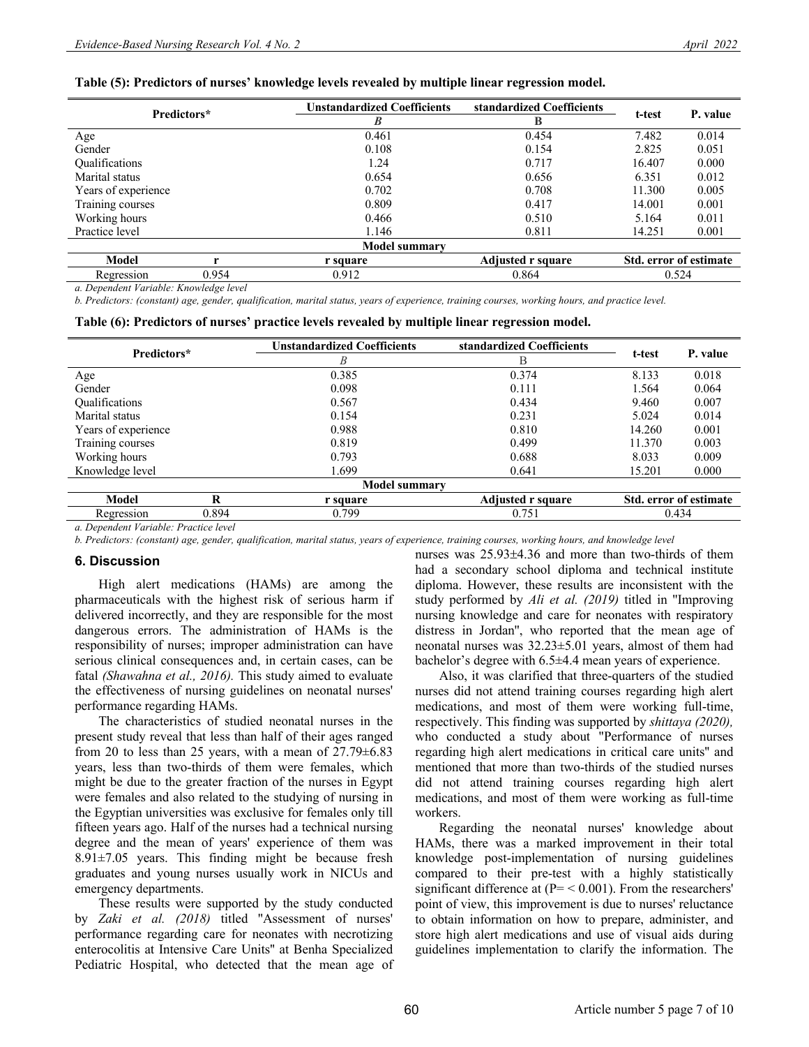|  |  |  |  | Table (5): Predictors of nurses' knowledge levels revealed by multiple linear regression model. |  |
|--|--|--|--|-------------------------------------------------------------------------------------------------|--|
|  |  |  |  |                                                                                                 |  |

|                     | Predictors* | <b>Unstandardized Coefficients</b> | standardized Coefficients |        | P. value                      |
|---------------------|-------------|------------------------------------|---------------------------|--------|-------------------------------|
|                     |             | B                                  | B                         | t-test |                               |
| Age                 |             | 0.461                              | 0.454                     | 7.482  | 0.014                         |
| Gender              |             | 0.108                              | 0.154                     | 2.825  | 0.051                         |
| Qualifications      |             | 1.24                               | 0.717                     | 16.407 | 0.000                         |
| Marital status      |             | 0.654                              | 0.656                     | 6.351  | 0.012                         |
| Years of experience |             | 0.702                              | 0.708                     | 11.300 | 0.005                         |
| Training courses    |             | 0.809                              | 0.417                     | 14.001 | 0.001                         |
| Working hours       |             | 0.466                              | 0.510                     | 5.164  | 0.011                         |
| Practice level      |             | 1.146                              | 0.811                     | 14.251 | 0.001                         |
|                     |             | <b>Model summary</b>               |                           |        |                               |
| <b>Model</b>        |             | r square                           | Adjusted r square         |        | <b>Std. error of estimate</b> |

Regression 0.954 0.912 0.864 0.524 0.524

*a. Dependent Variable: Knowledge level*

*b. Predictors: (constant) age, gender, qualification, marital status, years of experience, training courses, working hours, and practice level.*

|  | Table (6): Predictors of nurses' practice levels revealed by multiple linear regression model. |
|--|------------------------------------------------------------------------------------------------|
|  |                                                                                                |

| Predictors*           | <b>Unstandardized Coefficients</b> | standardized Coefficients |        | P. value               |
|-----------------------|------------------------------------|---------------------------|--------|------------------------|
|                       | B                                  | B                         | t-test |                        |
| Age                   | 0.385                              | 0.374                     | 8.133  | 0.018                  |
| Gender                | 0.098                              | 0.111                     | 1.564  | 0.064                  |
| <b>Qualifications</b> | 0.567                              | 0.434                     | 9.460  | 0.007                  |
| Marital status        | 0.154                              | 0.231                     | 5.024  | 0.014                  |
| Years of experience   | 0.988                              | 0.810                     | 14.260 | 0.001                  |
| Training courses      | 0.819                              | 0.499                     | 11.370 | 0.003                  |
| Working hours         | 0.793                              | 0.688                     | 8.033  | 0.009                  |
| Knowledge level       | 1.699                              | 0.641                     | 15.201 | 0.000                  |
|                       | <b>Model summary</b>               |                           |        |                        |
| Model<br>R            | r square                           | Adjusted r square         |        | Std. error of estimate |
| 0.894<br>Regression   | 0.799                              | 0.751                     |        | 0.434                  |

*a. Dependent Variable: Practice level*

*b. Predictors: (constant) age, gender, qualification, marital status, years of experience, training courses, working hours, and knowledge level*

#### **6. Discussion**

High alert medications (HAMs) are among the pharmaceuticals with the highest risk of serious harm if delivered incorrectly, and they are responsible for the most dangerous errors. The administration of HAMs is the responsibility of nurses; improper administration can have serious clinical consequences and, in certain cases, can be fatal *(Shawahna et al., 2016).* This study aimed to evaluate the effectiveness of nursing guidelines on neonatal nurses' performance regarding HAMs.

The characteristics of studied neonatal nurses in the present study reveal that less than half of their ages ranged from 20 to less than 25 years, with a mean of  $27.79\pm6.83$ years, less than two-thirds of them were females, which might be due to the greater fraction of the nurses in Egypt were females and also related to the studying of nursing in the Egyptian universities was exclusive for females only till fifteen years ago. Half of the nurses had a technical nursing degree and the mean of years' experience of them was  $8.91\pm7.05$  years. This finding might be because fresh graduates and young nurses usually work in NICUs and emergency departments.

These results were supported by the study conducted by *Zaki et al. (2018)* titled ''Assessment of nurses' performance regarding care for neonates with necrotizing enterocolitis at Intensive Care Units'' at Benha Specialized Pediatric Hospital, who detected that the mean age of nurses was 25.93±4.36 and more than two-thirds of them had a secondary school diploma and technical institute diploma. However, these results are inconsistent with the study performed by *Ali et al. (2019)* titled in ''Improving nursing knowledge and care for neonates with respiratory distress in Jordan'', who reported that the mean age of neonatal nurses was 32.23±5.01 years, almost of them had bachelor's degree with 6.5±4.4 mean years of experience.

Also, it was clarified that three-quarters of the studied nurses did not attend training courses regarding high alert medications, and most of them were working full-time, respectively. This finding was supported by *shittaya (2020),* who conducted a study about "Performance of nurses regarding high alert medications in critical care units'' and mentioned that more than two-thirds of the studied nurses did not attend training courses regarding high alert medications, and most of them were working as full-time workers.

Regarding the neonatal nurses' knowledge about HAMs, there was a marked improvement in their total knowledge post-implementation of nursing guidelines compared to their pre-test with a highly statistically significant difference at  $(P = < 0.001)$ . From the researchers' point of view, this improvement is due to nurses' reluctance to obtain information on how to prepare, administer, and store high alert medications and use of visual aids during guidelines implementation to clarify the information. The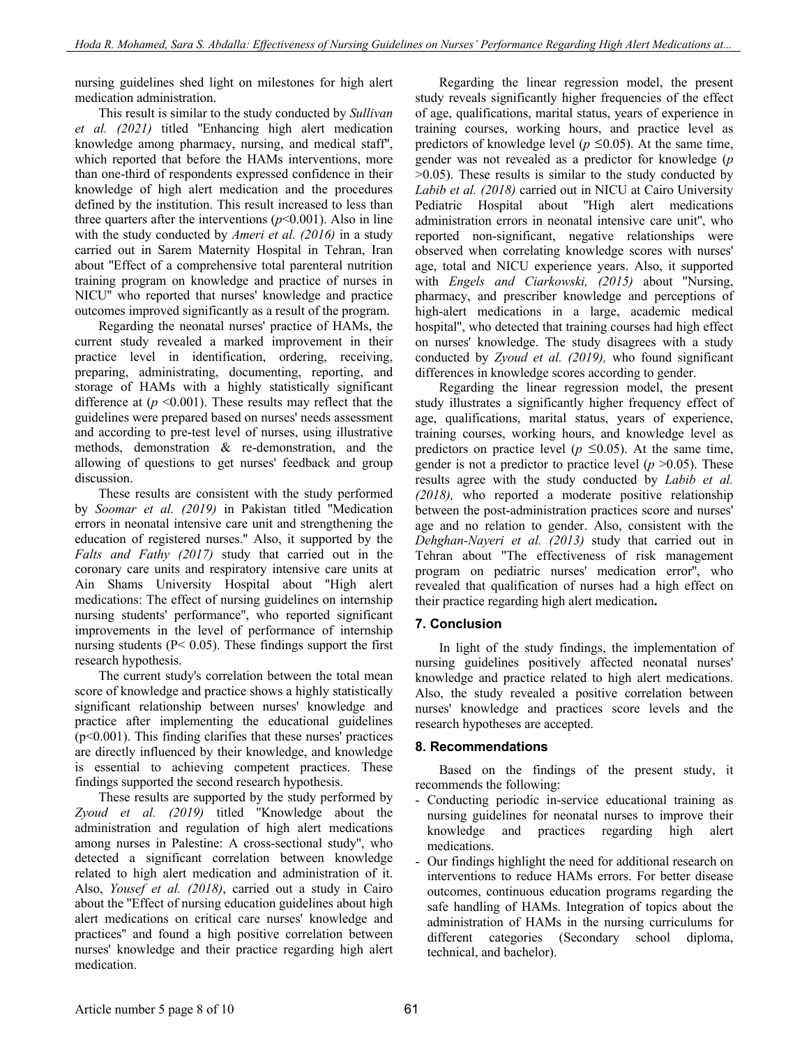nursing guidelines shed light on milestones for high alert medication administration.

This result is similar to the study conducted by *Sullivan et al. (2021)* titled ''Enhancing high alert medication knowledge among pharmacy, nursing, and medical staff'', which reported that before the HAMs interventions, more than one-third of respondents expressed confidence in their knowledge of high alert medication and the procedures defined by the institution. This result increased to less than three quarters after the interventions  $(p<0.001)$ . Also in line with the study conducted by *Ameri et al. (2016)* in a study carried out in Sarem Maternity Hospital in Tehran, Iran about ''Effect of a comprehensive total parenteral nutrition training program on knowledge and practice of nurses in NICU'' who reported that nurses' knowledge and practice outcomes improved significantly as a result of the program.

Regarding the neonatal nurses' practice of HAMs, the current study revealed a marked improvement in their practice level in identification, ordering, receiving, preparing, administrating, documenting, reporting, and storage of HAMs with a highly statistically significant difference at  $(p \le 0.001)$ . These results may reflect that the guidelines were prepared based on nurses' needs assessment and according to pre-test level of nurses, using illustrative methods, demonstration & re-demonstration, and the allowing of questions to get nurses' feedback and group discussion.

These results are consistent with the study performed by *Soomar et al. (2019)* in Pakistan titled ''Medication errors in neonatal intensive care unit and strengthening the education of registered nurses.'' Also, it supported by the *Falts and Fathy (2017)* study that carried out in the coronary care units and respiratory intensive care units at Ain Shams University Hospital about ''High alert medications: The effect of nursing guidelines on internship nursing students' performance'', who reported significant improvements in the level of performance of internship nursing students ( $P < 0.05$ ). These findings support the first research hypothesis.

The current study's correlation between the total mean score of knowledge and practice shows a highly statistically significant relationship between nurses' knowledge and practice after implementing the educational guidelines  $(p<0.001)$ . This finding clarifies that these nurses' practices are directly influenced by their knowledge, and knowledge is essential to achieving competent practices. These findings supported the second research hypothesis.

These results are supported by the study performed by *Zyoud et al. (2019)* titled ''Knowledge about the administration and regulation of high alert medications among nurses in Palestine: A cross-sectional study'', who detected a significant correlation between knowledge related to high alert medication and administration of it. Also, *Yousef et al. (2018)*, carried out a study in Cairo about the ''Effect of nursing education guidelines about high alert medications on critical care nurses' knowledge and practices'' and found a high positive correlation between nurses' knowledge and their practice regarding high alert medication.

Regarding the linear regression model, the present study reveals significantly higher frequencies of the effect of age, qualifications, marital status, years of experience in training courses, working hours, and practice level as predictors of knowledge level ( $p \le 0.05$ ). At the same time, gender was not revealed as a predictor for knowledge (*p* >0.05). These results is similar to the study conducted by *Labib et al. (2018)* carried out in NICU at Cairo University Pediatric Hospital about ''High alert medications administration errors in neonatal intensive care unit'', who reported non-significant, negative relationships were observed when correlating knowledge scores with nurses' age, total and NICU experience years. Also, it supported with *Engels and Ciarkowski, (2015)* about ''Nursing, pharmacy, and prescriber knowledge and perceptions of high-alert medications in a large, academic medical hospital'', who detected that training courses had high effect on nurses' knowledge. The study disagrees with a study conducted by *Zyoud et al. (2019),* who found significant differences in knowledge scores according to gender.

Regarding the linear regression model, the present study illustrates a significantly higher frequency effect of age, qualifications, marital status, years of experience, training courses, working hours, and knowledge level as predictors on practice level ( $p \le 0.05$ ). At the same time, gender is not a predictor to practice level  $(p > 0.05)$ . These results agree with the study conducted by *Labib et al. (2018),* who reported a moderate positive relationship between the post-administration practices score and nurses' age and no relation to gender. Also, consistent with the *Dehghan-Nayeri et al. (2013)* study that carried out in Tehran about ''The effectiveness of risk management program on pediatric nurses' medication error'', who revealed that qualification of nurses had a high effect on their practice regarding high alert medication**.**

## **7. Conclusion**

In light of the study findings, the implementation of nursing guidelines positively affected neonatal nurses' knowledge and practice related to high alert medications. Also, the study revealed a positive correlation between nurses' knowledge and practices score levels and the research hypotheses are accepted.

## **8. Recommendations**

Based on the findings of the present study, it recommends the following:

- Conducting periodic in-service educational training as nursing guidelines for neonatal nurses to improve their knowledge and practices regarding high alert medications.
- Our findings highlight the need for additional research on interventions to reduce HAMs errors. For better disease outcomes, continuous education programs regarding the safe handling of HAMs. Integration of topics about the administration of HAMs in the nursing curriculums for different categories (Secondary school diploma, technical, and bachelor).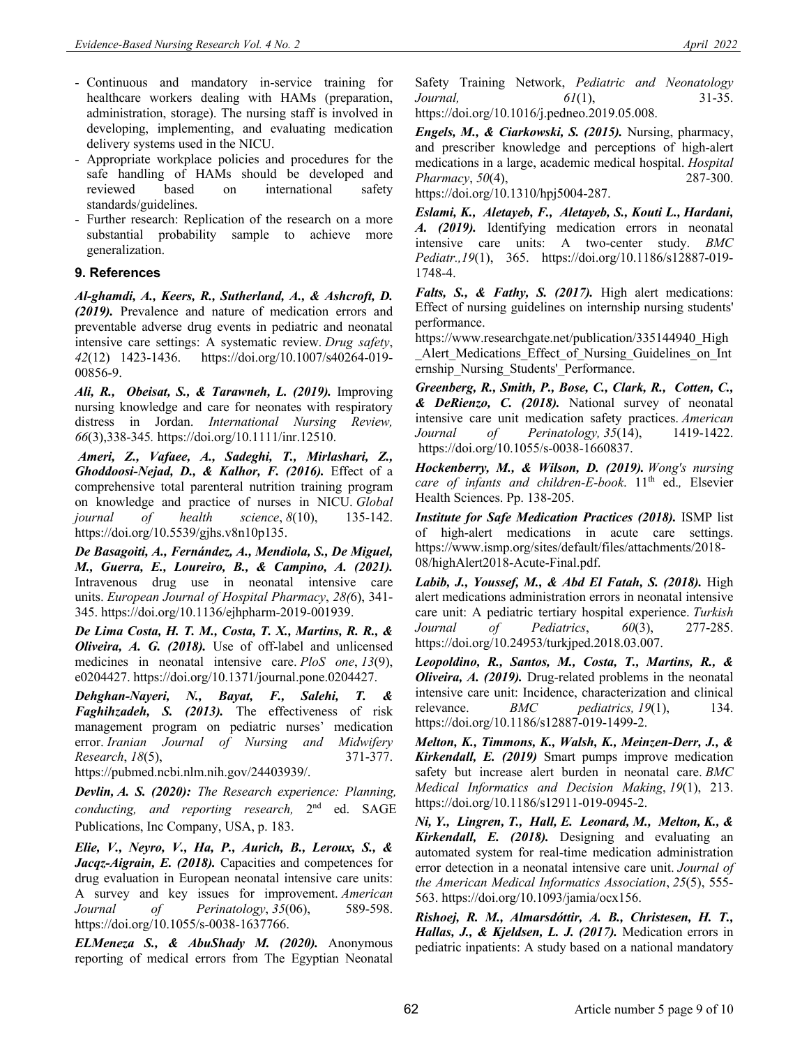- Continuous and mandatory in-service training for healthcare workers dealing with HAMs (preparation, administration, storage). The nursing staff is involved in developing, implementing, and evaluating medication delivery systems used in the NICU.
- Appropriate workplace policies and procedures for the safe handling of HAMs should be developed and reviewed based on international safety standards/guidelines.
- Further research: Replication of the research on a more substantial probability sample to achieve more generalization.

## **9. References**

*Al-ghamdi, A., Keers, R., Sutherland, A., & Ashcroft, D. (2019).* Prevalence and nature of medication errors and preventable adverse drug events in pediatric and neonatal intensive care settings: A systematic review. *Drug safety*, *42*(12) 1423-1436. https://doi.org/10.1007/s40264-019- 00856-9.

*Ali, R., Obeisat, S., & Tarawneh, L. (2019).* Improving nursing knowledge and care for neonates with respiratory distress in Jordan. *International Nursing Review, 66*(3),338-345*.* https://doi.org/10.1111/inr.12510.

*Ameri, Z., Vafaee, A., Sadeghi, T., Mirlashari, Z., Ghoddoosi-Nejad, D., & Kalhor, F. (2016).* Effect of a comprehensive total parenteral nutrition training program on knowledge and practice of nurses in NICU. *Global journal of health science*, *8*(10), 135-142. https://doi.org/10.5539/gjhs.v8n10p135.

*De Basagoiti, A., Fernández, A., Mendiola, S., De Miguel, M., Guerra, E., Loureiro, B., & Campino, A. (2021).* Intravenous drug use in neonatal intensive care units. *European Journal of Hospital Pharmacy*, *28(*6), 341- 345. https://doi.org/10.1136/ejhpharm-2019-001939.

*De Lima Costa, H. T. M., Costa, T. X., Martins, R. R., & Oliveira, A. G. (2018).* Use of off-label and unlicensed medicines in neonatal intensive care. *PloS one*, *13*(9), e0204427. https://doi.org/10.1371/journal.pone.0204427.

*Dehghan-Nayeri, N., Bayat, F., Salehi, T. & Faghihzadeh, S. (2013).* The effectiveness of risk management program on pediatric nurses' medication error. *Iranian Journal of Nursing and Midwifery Research*, *18*(5), 371-377.

https://pubmed.ncbi.nlm.nih.gov/24403939/.

*Devlin, A. S. (2020): The Research experience: Planning, conducting, and reporting research,* 2nd ed. SAGE Publications, Inc Company, USA, p. 183.

*Elie, V., Neyro, V., Ha, P., Aurich, B., Leroux, S., & Jacqz-Aigrain, E. (2018).* Capacities and competences for drug evaluation in European neonatal intensive care units: A survey and key issues for improvement. *American Journal of Perinatology*, *35*(06), 589-598. https://doi.org/10.1055/s-0038-1637766.

*ELMeneza S., & AbuShady M. (2020).* Anonymous reporting of medical errors from The Egyptian Neonatal

Safety Training Network, *Pediatric and Neonatology Journal, 61*(1), 31-35. https://doi.org/10.1016/j.pedneo.2019.05.008.

*Engels, M., & Ciarkowski, S. (2015).* Nursing, pharmacy, and prescriber knowledge and perceptions of high-alert medications in a large, academic medical hospital. *Hospital Pharmacy*, *50*(4), 287-300.

https://doi.org/10.1310/hpj5004-287.

*Eslami, K., Aletayeb, F., Aletayeb, S., Kouti L., Hardani, A. (2019).* Identifying medication errors in neonatal intensive care units: A two-center study. *BMC Pediatr.,19*(1), 365. https://doi.org/10.1186/s12887-019- 1748-4.

*Falts, S., & Fathy, S. (2017).* High alert medications: Effect of nursing guidelines on internship nursing students' performance.

https://www.researchgate.net/publication/335144940 High Alert Medications Effect of Nursing Guidelines on Int ernship\_Nursing\_Students'\_Performance.

*Greenberg, R., Smith, P., Bose, C., Clark, R., Cotten, C., & DeRienzo, C. (2018).* National survey of neonatal intensive care unit medication safety practices. *American Journal of Perinatology, 35*(14), 1419-1422. https://doi.org/10.1055/s-0038-1660837.

*Hockenberry, M., & Wilson, D. (2019). Wong's nursing care of infants and children-E-book*. 11th ed.*,* Elsevier Health Sciences. Pp. 138-205.

*Institute for Safe Medication Practices (2018).* ISMP list of high‐alert medications in acute care settings. https://www.ismp.org/sites/default/files/attachments/2018- 08/highAlert2018-Acute-Final.pdf.

*Labib, J., Youssef, M., & Abd El Fatah, S. (2018).* High alert medications administration errors in neonatal intensive care unit: A pediatric tertiary hospital experience. *Turkish Journal of Pediatrics*, *60*(3), 277-285. https://doi.org/10.24953/turkjped.2018.03.007.

*Leopoldino, R., Santos, M., Costa, T., Martins, R., & Oliveira, A. (2019).* Drug-related problems in the neonatal intensive care unit: Incidence, characterization and clinical relevance. *BMC pediatrics, 19*(1), 134. https://doi.org/10.1186/s12887-019-1499-2.

*Melton, K., Timmons, K., Walsh, K., Meinzen-Derr, J., & Kirkendall, E. (2019)* Smart pumps improve medication safety but increase alert burden in neonatal care. *BMC Medical Informatics and Decision Making*, *19*(1), 213. https://doi.org/10.1186/s12911-019-0945-2.

*Ni, Y., Lingren, T., Hall, E. Leonard, M., Melton, K., & Kirkendall, E. (2018).* Designing and evaluating an automated system for real-time medication administration error detection in a neonatal intensive care unit. *Journal of the American Medical Informatics Association*, *25*(5), 555- 563. https://doi.org/10.1093/jamia/ocx156.

*Rishoej, R. M., Almarsdóttir, A. B., Christesen, H. T., Hallas, J., & Kjeldsen, L. J. (2017).* Medication errors in pediatric inpatients: A study based on a national mandatory